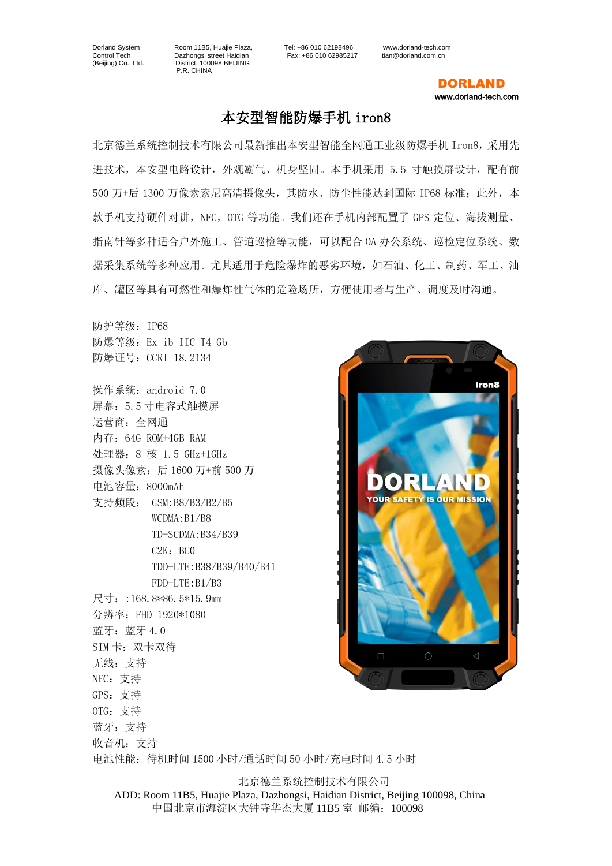Control Tech Dazhongsi street Haidian<br>
(Beijing) Co., Ltd. District. 100098 BEIJING District. 100098 BEIJING P.R. CHINA

Dorland System Room 11B5, Huajie Plaza, Tel: +86 010 62198496 www.dorland-tech.com

 DORLAND www.dorland-tech.com

## 本安型智能防爆手机 iron8

北京德兰系统控制技术有限公司最新推出本安型智能全网通工业级防爆手机 Iron8,采用先 进技术,本安型电路设计,外观霸气、机身坚固。本手机采用 5.5 寸触摸屏设计,配有前 500 万+后 1300 万像素索尼高清摄像头,其防水、防尘性能达到国际 IP68 标准;此外,本 款手机支持硬件对讲,NFC,OTG 等功能。我们还在手机内部配置了 GPS 定位、海拔测量、 指南针等多种适合户外施工、管道巡检等功能,可以配合 OA 办公系统、巡检定位系统、数 据采集系统等多种应用。尤其适用于危险爆炸的恶劣环境,如石油、化工、制药、军工、油 库、罐区等具有可燃性和爆炸性气体的危险场所,方便使用者与生产、调度及时沟通。

防护等级:IP68 防爆等级:Ex ib IIC T4 Gb 防爆证号:CCRI 18.2134

操作系统:android 7.0 屏幕:5.5 寸电容式触摸屏 运营商:全网通 内存:64G ROM+4GB RAM 处理器:8 核 1.5 GHz+1GHz 摄像头像素:后 1600 万+前 500 万 电池容量:8000mAh 支持频段: GSM:B8/B3/B2/B5 WCDMA:B1/B8 TD-SCDMA:B34/B39  $C2K:BC0$ TDD-LTE:B38/B39/B40/B41 FDD-LTE:B1/B3 尺寸::168.8\*86.5\*15.9mm 分辨率:FHD 1920\*1080 蓝牙: 蓝牙 4.0 SIM 卡: 双卡双待 无线:支持 NFC:支持 GPS:支持 OTG:支持 蓝牙:支持 收音机:支持



电池性能:待机时间 1500 小时/通话时间 50 小时/充电时间 4.5 小时

北京德兰系统控制技术有限公司 ADD: Room 11B5, Huajie Plaza, Dazhongsi, Haidian District, Beijing 100098, China 中国北京市海淀区大钟寺华杰大厦 11B5 室 邮编:100098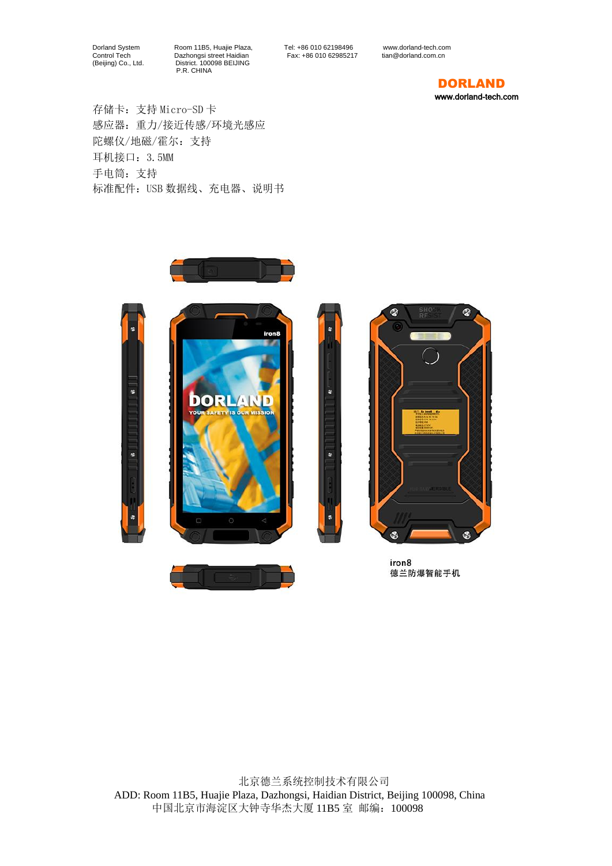Dorland System Room 11B5, Huajie Plaza, Tel: +86 010 62198496 www.dorland-tech.com Control Tech Dazhongsi street Haidian Fax: +86 010 62985217 tian@dorland.com.cn (Beijing) Co., Ltd. District. 100098 BEIJING P.R. CHINA

r.

## DORLAND

www.dorland-tech.com

存储卡:支持 Micro-SD 卡 感应器:重力/接近传感/环境光感应 陀螺仪/地磁/霍尔:支持 耳机接口: 3.5MM 手电筒:支持 标准配件:USB 数据线、充电器、说明书





iron8 德兰防爆智能手机